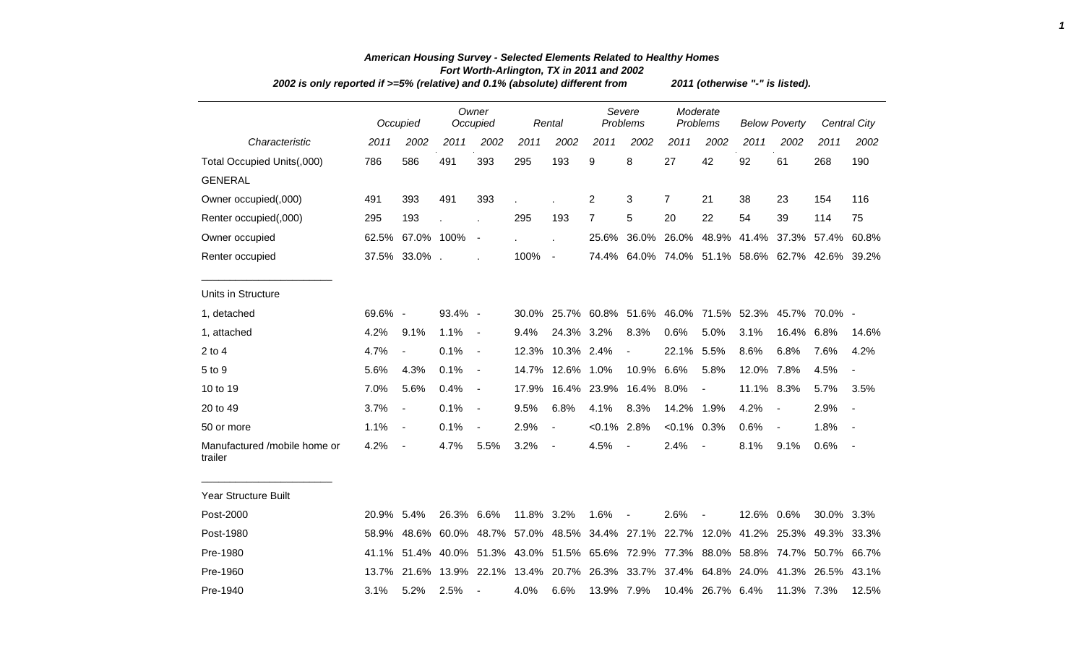| 2002 is only reported if >=5% (relative) and 0.1% (absolute) different from |         | 2011 (otherwise "-" is listed). |                                                 |                          |                   |                          |                |                                     |                |                          |                      |                                                                                     |                   |              |
|-----------------------------------------------------------------------------|---------|---------------------------------|-------------------------------------------------|--------------------------|-------------------|--------------------------|----------------|-------------------------------------|----------------|--------------------------|----------------------|-------------------------------------------------------------------------------------|-------------------|--------------|
|                                                                             |         | Occupied                        |                                                 | Owner<br>Occupied        |                   | Rental                   |                | Severe<br>Problems                  |                | Moderate<br>Problems     | <b>Below Poverty</b> |                                                                                     |                   | Central City |
| Characteristic                                                              | 2011    | 2002                            | 2011                                            | 2002                     | 2011              | 2002                     | 2011           | 2002                                | 2011           | 2002                     | 2011                 | 2002                                                                                | 2011              | 2002         |
| Total Occupied Units(,000)                                                  | 786     | 586                             | 491                                             | 393                      | 295               | 193                      | 9              | 8                                   | 27             | 42                       | 92                   | 61                                                                                  | 268               | 190          |
| <b>GENERAL</b>                                                              |         |                                 |                                                 |                          |                   |                          |                |                                     |                |                          |                      |                                                                                     |                   |              |
| Owner occupied(,000)                                                        | 491     | 393                             | 491                                             | 393                      |                   |                          | $\overline{2}$ | 3                                   | 7              | 21                       | 38                   | 23                                                                                  | 154               | 116          |
| Renter occupied(,000)                                                       | 295     | 193                             |                                                 |                          | 295               | 193                      | $\overline{7}$ | 5                                   | 20             | 22                       | 54                   | 39                                                                                  | 114               | 75           |
| Owner occupied                                                              |         | 62.5% 67.0% 100%                |                                                 | $\overline{\phantom{a}}$ |                   |                          | 25.6%          | 36.0%                               | 26.0%          | 48.9%                    | 41.4%                | 37.3% 57.4%                                                                         |                   | 60.8%        |
| Renter occupied                                                             |         | 37.5% 33.0%.                    |                                                 |                          | 100%              | $\blacksquare$           | 74.4%          |                                     |                |                          |                      | 64.0% 74.0% 51.1% 58.6% 62.7% 42.6% 39.2%                                           |                   |              |
| Units in Structure                                                          |         |                                 |                                                 |                          |                   |                          |                |                                     |                |                          |                      |                                                                                     |                   |              |
| 1, detached                                                                 | 69.6% - |                                 | 93.4% -                                         |                          | 30.0%             |                          |                | 25.7% 60.8% 51.6% 46.0% 71.5% 52.3% |                |                          |                      |                                                                                     | 45.7% 70.0% -     |              |
| 1, attached                                                                 | 4.2%    | 9.1%                            | 1.1%                                            | $\blacksquare$           | 9.4%              | 24.3% 3.2%               |                | 8.3%                                | 0.6%           | 5.0%                     | 3.1%                 | 16.4% 6.8%                                                                          |                   | 14.6%        |
| $2$ to 4                                                                    | 4.7%    | $\overline{\phantom{a}}$        | 0.1%                                            | $\blacksquare$           | 12.3%             | 10.3% 2.4%               |                | $\blacksquare$                      | 22.1%          | 5.5%                     | 8.6%                 | 6.8%                                                                                | 7.6%              | 4.2%         |
| 5 to 9                                                                      | 5.6%    | 4.3%                            | 0.1%                                            | $\overline{\phantom{a}}$ | 14.7%             | 12.6%                    | 1.0%           | 10.9%                               | 6.6%           | 5.8%                     | 12.0%                | 7.8%                                                                                | 4.5%              |              |
| 10 to 19                                                                    | 7.0%    | 5.6%                            | 0.4%                                            | $\blacksquare$           | 17.9%             |                          | 16.4% 23.9%    | 16.4%                               | 8.0%           | $\overline{\phantom{a}}$ | 11.1% 8.3%           |                                                                                     | 5.7%              | 3.5%         |
| 20 to 49                                                                    | 3.7%    | $\overline{\phantom{a}}$        | 0.1%                                            | $\blacksquare$           | 9.5%              | 6.8%                     | 4.1%           | 8.3%                                | 14.2%          | 1.9%                     | 4.2%                 | $\blacksquare$                                                                      | 2.9%              |              |
| 50 or more                                                                  | 1.1%    | $\blacksquare$                  | 0.1%                                            | $\overline{\phantom{a}}$ | 2.9%              | $\overline{\phantom{a}}$ | $< 0.1\%$      | 2.8%                                | $< 0.1\%$ 0.3% |                          | 0.6%                 | $\blacksquare$                                                                      | 1.8%              |              |
| Manufactured /mobile home or<br>trailer                                     | 4.2%    | $\overline{\phantom{a}}$        | 4.7%                                            | 5.5%                     | 3.2%              | $\blacksquare$           | 4.5%           | $\overline{\phantom{a}}$            | 2.4%           | $\overline{\phantom{a}}$ | 8.1%                 | 9.1%                                                                                | 0.6%              | $\sim$       |
| Year Structure Built                                                        |         |                                 |                                                 |                          |                   |                          |                |                                     |                |                          |                      |                                                                                     |                   |              |
| Post-2000                                                                   | 20.9%   | 5.4%                            | 26.3% 6.6%                                      |                          | 11.8%             | 3.2%                     | 1.6%           | $\overline{\phantom{a}}$            | 2.6%           |                          | 12.6%                | 0.6%                                                                                | 30.0% 3.3%        |              |
| Post-1980                                                                   | 58.9%   | 48.6%                           |                                                 |                          | 60.0% 48.7% 57.0% |                          |                | 48.5% 34.4% 27.1%                   | 22.7%          | 12.0%                    | 41.2%                |                                                                                     | 25.3% 49.3% 33.3% |              |
| Pre-1980                                                                    | 41.1%   |                                 | 51.4% 40.0% 51.3% 43.0% 51.5% 65.6% 72.9% 77.3% |                          |                   |                          |                |                                     |                |                          |                      | 88.0% 58.8% 74.7% 50.7% 66.7%                                                       |                   |              |
| Pre-1960                                                                    |         |                                 |                                                 |                          |                   |                          |                |                                     |                |                          |                      | 13.7% 21.6% 13.9% 22.1% 13.4% 20.7% 26.3% 33.7% 37.4% 64.8% 24.0% 41.3% 26.5% 43.1% |                   |              |

Pre-1940 3.1% 5.2% 2.5% - 4.0% 6.6% 13.9% 7.9% 10.4% 26.7% 6.4% 11.3% 7.3% 12.5%

## *American Housing Survey - Selected Elements Related to Healthy Homes Fort Worth-Arlington, TX in 2011 and 2002*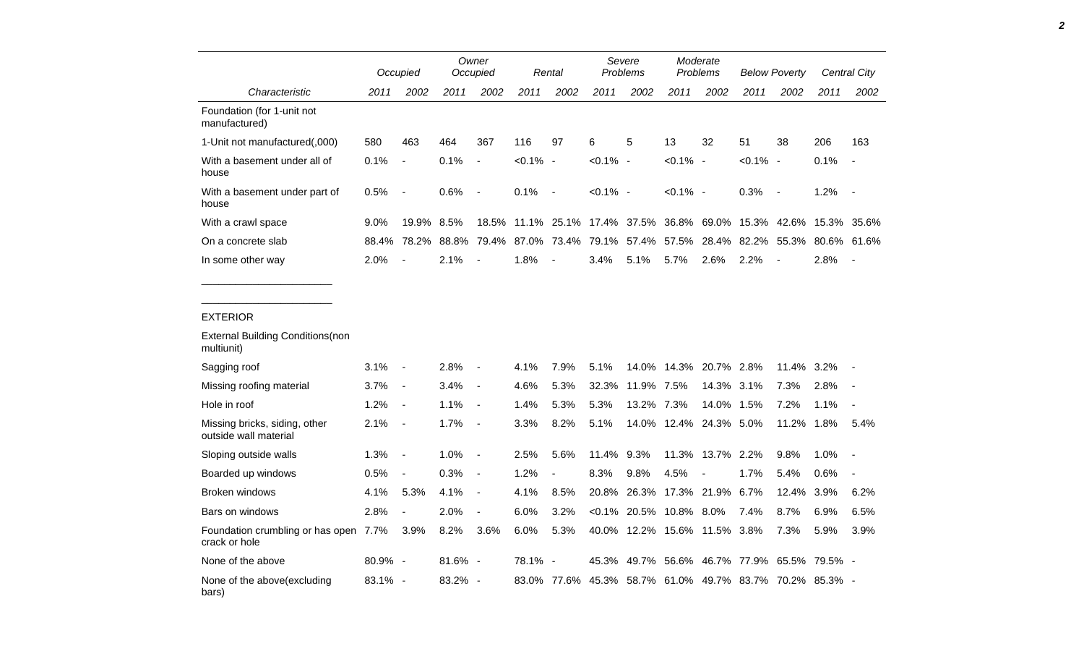|                                                        |         | Occupied                 |         | Owner<br>Occupied        |             | Rental                   | Severe<br>Problems |                              | Moderate<br>Problems |                  | <b>Below Poverty</b>    |                          | <b>Central City</b>                                     |                          |
|--------------------------------------------------------|---------|--------------------------|---------|--------------------------|-------------|--------------------------|--------------------|------------------------------|----------------------|------------------|-------------------------|--------------------------|---------------------------------------------------------|--------------------------|
| Characteristic                                         | 2011    | 2002                     | 2011    | 2002                     | 2011        | 2002                     | 2011               | 2002                         | 2011                 | 2002             | 2011                    | 2002                     | 2011                                                    | 2002                     |
| Foundation (for 1-unit not<br>manufactured)            |         |                          |         |                          |             |                          |                    |                              |                      |                  |                         |                          |                                                         |                          |
| 1-Unit not manufactured(,000)                          | 580     | 463                      | 464     | 367                      | 116         | 97                       | 6                  | 5                            | 13                   | 32               | 51                      | 38                       | 206                                                     | 163                      |
| With a basement under all of<br>house                  | 0.1%    | $\blacksquare$           | 0.1%    | $\overline{a}$           | $< 0.1\%$ - |                          | $< 0.1\%$ -        |                              | $< 0.1\%$ -          |                  | $< 0.1\%$ -             |                          | 0.1%                                                    | $\overline{\phantom{a}}$ |
| With a basement under part of<br>house                 | 0.5%    | $\overline{a}$           | 0.6%    | $\blacksquare$           | 0.1%        | $\overline{\phantom{a}}$ | $< 0.1\%$ -        |                              | $< 0.1\%$ -          |                  | 0.3%                    | $\overline{\phantom{a}}$ | 1.2%                                                    | $\overline{\phantom{a}}$ |
| With a crawl space                                     | 9.0%    | 19.9% 8.5%               |         | 18.5%                    |             |                          |                    | 11.1% 25.1% 17.4% 37.5%      |                      | 36.8% 69.0%      | 15.3%                   | 42.6%                    | 15.3%                                                   | 35.6%                    |
| On a concrete slab                                     | 88.4%   | 78.2%                    | 88.8%   | 79.4%                    |             |                          | 87.0% 73.4% 79.1%  | 57.4%                        | 57.5%                | 28.4%            | 82.2%                   |                          | 55.3% 80.6%                                             | 61.6%                    |
| In some other way                                      | 2.0%    |                          | 2.1%    |                          | 1.8%        |                          | 3.4%               | 5.1%                         | 5.7%                 | 2.6%             | 2.2%                    |                          | 2.8%                                                    | $\overline{\phantom{a}}$ |
| <b>EXTERIOR</b>                                        |         |                          |         |                          |             |                          |                    |                              |                      |                  |                         |                          |                                                         |                          |
| <b>External Building Conditions(non</b><br>multiunit)  |         |                          |         |                          |             |                          |                    |                              |                      |                  |                         |                          |                                                         |                          |
| Sagging roof                                           | 3.1%    | $\overline{\phantom{a}}$ | 2.8%    | $\blacksquare$           | 4.1%        | 7.9%                     | 5.1%               | 14.0%                        | 14.3%                | 20.7% 2.8%       |                         | 11.4% 3.2%               |                                                         |                          |
| Missing roofing material                               | 3.7%    | $\overline{\phantom{a}}$ | 3.4%    | $\blacksquare$           | 4.6%        | 5.3%                     | 32.3%              | 11.9% 7.5%                   |                      | 14.3% 3.1%       |                         | 7.3%                     | 2.8%                                                    |                          |
| Hole in roof                                           | 1.2%    | $\frac{1}{2}$            | 1.1%    | $\overline{a}$           | 1.4%        | 5.3%                     | 5.3%               | 13.2% 7.3%                   |                      | 14.0%            | 1.5%                    | 7.2%                     | 1.1%                                                    |                          |
| Missing bricks, siding, other<br>outside wall material | 2.1%    | $\overline{\phantom{a}}$ | 1.7%    | $\overline{\phantom{a}}$ | 3.3%        | 8.2%                     | 5.1%               | 14.0%                        |                      | 12.4% 24.3% 5.0% |                         | 11.2%                    | 1.8%                                                    | 5.4%                     |
| Sloping outside walls                                  | 1.3%    | $\blacksquare$           | 1.0%    | $\overline{\phantom{a}}$ | 2.5%        | 5.6%                     | 11.4%              | 9.3%                         | 11.3%                | 13.7%            | 2.2%                    | 9.8%                     | 1.0%                                                    | $\blacksquare$           |
| Boarded up windows                                     | 0.5%    | $\overline{\phantom{a}}$ | 0.3%    | $\overline{\phantom{a}}$ | 1.2%        | $\overline{\phantom{a}}$ | 8.3%               | 9.8%                         | 4.5%                 |                  | 1.7%                    | 5.4%                     | 0.6%                                                    |                          |
| <b>Broken windows</b>                                  | 4.1%    | 5.3%                     | 4.1%    | $\blacksquare$           | 4.1%        | 8.5%                     | 20.8%              | 26.3%                        |                      | 17.3% 21.9% 6.7% |                         | 12.4%                    | 3.9%                                                    | 6.2%                     |
| Bars on windows                                        | 2.8%    | $\overline{\phantom{a}}$ | 2.0%    | $\overline{a}$           | 6.0%        | 3.2%                     |                    | <0.1% 20.5% 10.8% 8.0%       |                      |                  | 7.4%                    | 8.7%                     | 6.9%                                                    | 6.5%                     |
| Foundation crumbling or has open 7.7%<br>crack or hole |         | 3.9%                     | 8.2%    | 3.6%                     | 6.0%        | 5.3%                     |                    | 40.0% 12.2% 15.6% 11.5% 3.8% |                      |                  |                         | 7.3%                     | 5.9%                                                    | 3.9%                     |
| None of the above                                      | 80.9% - |                          | 81.6% - |                          | 78.1%       | $\blacksquare$           | 45.3%              |                              |                      |                  | 49.7% 56.6% 46.7% 77.9% |                          | 65.5% 79.5% -                                           |                          |
| None of the above(excluding<br>bars)                   | 83.1% - |                          | 83.2% - |                          |             |                          |                    |                              |                      |                  |                         |                          | 83.0% 77.6% 45.3% 58.7% 61.0% 49.7% 83.7% 70.2% 85.3% - |                          |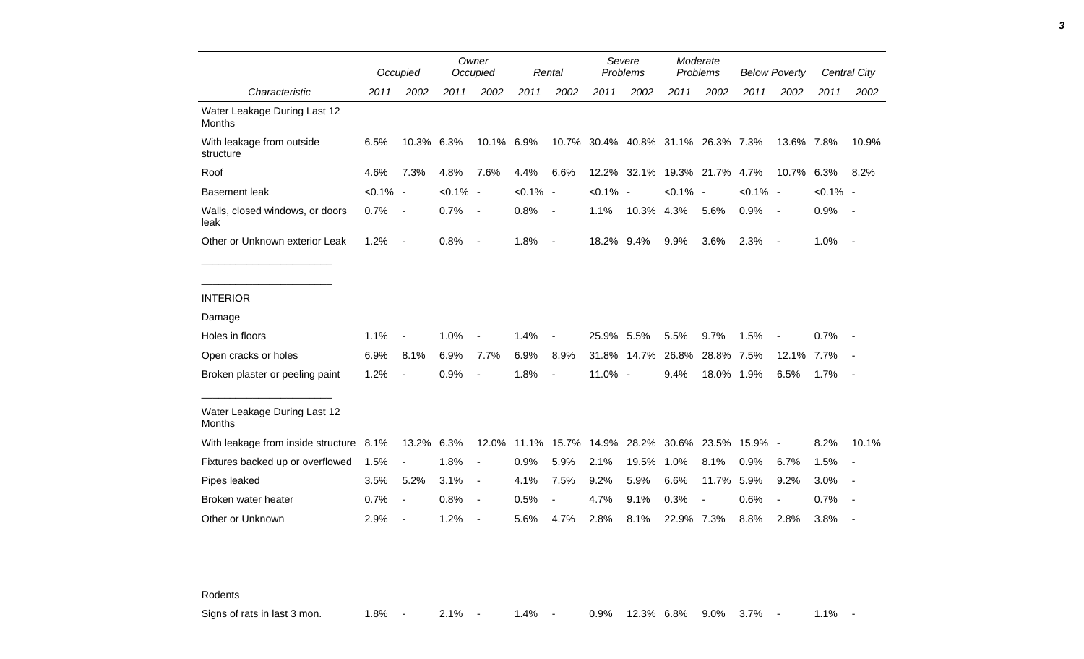|                                         |             | Occupied                 |             | Owner<br>Occupied        |             | Rental                        |             | Severe<br>Problems                 |             | Moderate<br>Problems |             | <b>Below Poverty</b> |             | Central City |
|-----------------------------------------|-------------|--------------------------|-------------|--------------------------|-------------|-------------------------------|-------------|------------------------------------|-------------|----------------------|-------------|----------------------|-------------|--------------|
| Characteristic                          | 2011        | 2002                     | 2011        | 2002                     | 2011        | 2002                          | 2011        | 2002                               | 2011        | 2002                 | 2011        | 2002                 | 2011        | 2002         |
| Water Leakage During Last 12<br>Months  |             |                          |             |                          |             |                               |             |                                    |             |                      |             |                      |             |              |
| With leakage from outside<br>structure  | 6.5%        | 10.3%                    | 6.3%        | 10.1%                    | 6.9%        |                               |             | 10.7% 30.4% 40.8% 31.1% 26.3% 7.3% |             |                      |             | 13.6% 7.8%           |             | 10.9%        |
| Roof                                    | 4.6%        | 7.3%                     | 4.8%        | 7.6%                     | 4.4%        | 6.6%                          | 12.2%       | 32.1%                              |             | 19.3% 21.7%          | 4.7%        | 10.7%                | 6.3%        | 8.2%         |
| <b>Basement leak</b>                    | $< 0.1\%$ - |                          | $< 0.1\%$ - |                          | $< 0.1\%$ - |                               | $< 0.1\%$ - |                                    | $< 0.1\%$ - |                      | $< 0.1\%$ - |                      | $< 0.1\%$ - |              |
| Walls, closed windows, or doors<br>leak | 0.7%        | $\overline{\phantom{a}}$ | 0.7%        | $\overline{\phantom{a}}$ | 0.8%        | $\overline{\phantom{a}}$      | 1.1%        | 10.3%                              | 4.3%        | 5.6%                 | 0.9%        | $\sim$               | 0.9%        | $\sim$       |
| Other or Unknown exterior Leak          | 1.2%        | $\overline{\phantom{a}}$ | 0.8%        | $\overline{\phantom{a}}$ | 1.8%        | $\overline{\phantom{a}}$      | 18.2% 9.4%  |                                    | 9.9%        | 3.6%                 | 2.3%        | $\sim$               | 1.0%        | $\sim$       |
|                                         |             |                          |             |                          |             |                               |             |                                    |             |                      |             |                      |             |              |
| <b>INTERIOR</b>                         |             |                          |             |                          |             |                               |             |                                    |             |                      |             |                      |             |              |
| Damage                                  |             |                          |             |                          |             |                               |             |                                    |             |                      |             |                      |             |              |
| Holes in floors                         | 1.1%        |                          | 1.0%        |                          | 1.4%        | $\overline{a}$                | 25.9% 5.5%  |                                    | 5.5%        | 9.7%                 | 1.5%        |                      | 0.7%        |              |
| Open cracks or holes                    | 6.9%        | 8.1%                     | 6.9%        | 7.7%                     | 6.9%        | 8.9%                          |             | 31.8% 14.7%                        | 26.8%       | 28.8%                | 7.5%        | 12.1%                | 7.7%        |              |
| Broken plaster or peeling paint         | 1.2%        |                          | 0.9%        | $\blacksquare$           | 1.8%        | $\blacksquare$                | 11.0% -     |                                    | 9.4%        | 18.0% 1.9%           |             | 6.5%                 | 1.7%        | $\sim$       |
| Water Leakage During Last 12<br>Months  |             |                          |             |                          |             |                               |             |                                    |             |                      |             |                      |             |              |
| With leakage from inside structure 8.1% |             | 13.2% 6.3%               |             |                          |             | 12.0% 11.1% 15.7% 14.9% 28.2% |             |                                    |             | 30.6% 23.5%          | $15.9\%$ -  |                      | 8.2%        | 10.1%        |
| Fixtures backed up or overflowed        | 1.5%        |                          | 1.8%        | $\overline{a}$           | 0.9%        | 5.9%                          | 2.1%        | 19.5%                              | 1.0%        | 8.1%                 | 0.9%        | 6.7%                 | 1.5%        |              |
| Pipes leaked                            | 3.5%        | 5.2%                     | 3.1%        | $\overline{a}$           | 4.1%        | 7.5%                          | 9.2%        | 5.9%                               | 6.6%        | 11.7%                | 5.9%        | 9.2%                 | 3.0%        | $\sim$       |
| Broken water heater                     | 0.7%        | $\blacksquare$           | 0.8%        | $\overline{a}$           | 0.5%        | $\overline{\phantom{0}}$      | 4.7%        | 9.1%                               | 0.3%        |                      | 0.6%        | $\blacksquare$       | 0.7%        |              |
| Other or Unknown                        | 2.9%        |                          | 1.2%        | $\blacksquare$           | 5.6%        | 4.7%                          | 2.8%        | 8.1%                               | 22.9% 7.3%  |                      | 8.8%        | 2.8%                 | 3.8%        |              |

Rodents

Signs of rats in last 3 mon. 4.8% - 2.1% - 1.4% - 0.9% 12.3% 6.8% 9.0% 3.7% - 1.1% -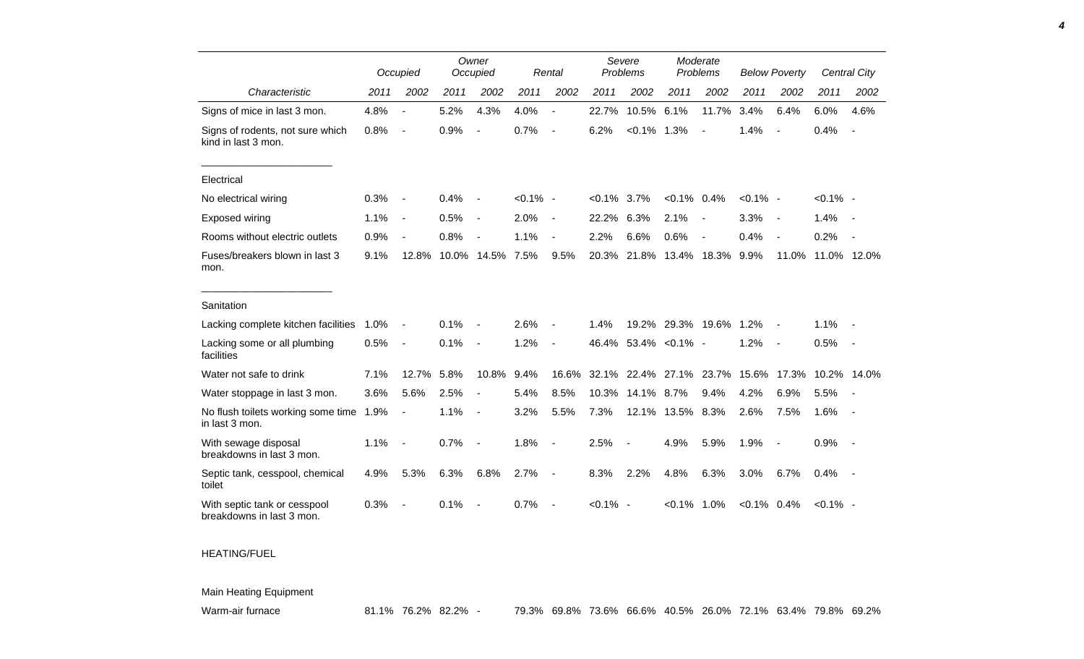|                                                           |      | Occupied                 |      | Owner<br>Occupied        |             | Rental                   | Severe<br>Problems |                | Moderate<br>Problems |                          | <b>Below Poverty</b> |                          |             | Central City |
|-----------------------------------------------------------|------|--------------------------|------|--------------------------|-------------|--------------------------|--------------------|----------------|----------------------|--------------------------|----------------------|--------------------------|-------------|--------------|
| Characteristic                                            | 2011 | 2002                     | 2011 | 2002                     | 2011        | 2002                     | 2011               | 2002           | 2011                 | 2002                     | 2011                 | 2002                     | 2011        | 2002         |
| Signs of mice in last 3 mon.                              | 4.8% | $\blacksquare$           | 5.2% | 4.3%                     | 4.0%        | $\overline{\phantom{a}}$ | 22.7%              | 10.5%          | 6.1%                 | 11.7%                    | 3.4%                 | 6.4%                     | 6.0%        | 4.6%         |
| Signs of rodents, not sure which<br>kind in last 3 mon.   | 0.8% | $\blacksquare$           | 0.9% |                          | 0.7%        | $\sim$                   | 6.2%               | $< 0.1\%$      | 1.3%                 | $\sim$                   | 1.4%                 |                          | 0.4%        |              |
| Electrical                                                |      |                          |      |                          |             |                          |                    |                |                      |                          |                      |                          |             |              |
| No electrical wiring                                      | 0.3% | $\overline{\phantom{a}}$ | 0.4% |                          | $< 0.1\%$ - |                          | $< 0.1\%$          | 3.7%           | $< 0.1\%$ 0.4%       |                          | $< 0.1\%$ -          |                          | $< 0.1\%$ - |              |
| <b>Exposed wiring</b>                                     | 1.1% | $\overline{\phantom{a}}$ | 0.5% | $\overline{\phantom{a}}$ | 2.0%        | $\blacksquare$           | 22.2%              | 6.3%           | 2.1%                 | $\overline{\phantom{a}}$ | 3.3%                 | $\overline{\phantom{a}}$ | 1.4%        | $\sim$       |
| Rooms without electric outlets                            | 0.9% |                          | 0.8% |                          | 1.1%        | $\blacksquare$           | 2.2%               | 6.6%           | 0.6%                 |                          | 0.4%                 | $\overline{\phantom{a}}$ | 0.2%        |              |
| Fuses/breakers blown in last 3<br>mon.                    | 9.1% | 12.8%                    |      | 10.0% 14.5%              | 7.5%        | 9.5%                     | 20.3%              | 21.8%          | 13.4%                | 18.3%                    | 9.9%                 | 11.0%                    | 11.0% 12.0% |              |
| Sanitation                                                |      |                          |      |                          |             |                          |                    |                |                      |                          |                      |                          |             |              |
| Lacking complete kitchen facilities                       | 1.0% |                          | 0.1% |                          | 2.6%        |                          | 1.4%               | 19.2%          | 29.3%                | 19.6%                    | 1.2%                 |                          | 1.1%        |              |
| Lacking some or all plumbing<br>facilities                | 0.5% | $\overline{\phantom{a}}$ | 0.1% | $\overline{a}$           | 1.2%        | $\blacksquare$           | 46.4%              |                | $53.4\%$ < 0.1% -    |                          | 1.2%                 | $\overline{\phantom{a}}$ | 0.5%        | $\sim$       |
| Water not safe to drink                                   | 7.1% | 12.7%                    | 5.8% | 10.8%                    | 9.4%        | 16.6%                    | 32.1%              | 22.4%          | 27.1%                | 23.7%                    | 15.6%                | 17.3%                    | 10.2%       | 14.0%        |
| Water stoppage in last 3 mon.                             | 3.6% | 5.6%                     | 2.5% |                          | 5.4%        | 8.5%                     | 10.3%              | 14.1%          | 8.7%                 | 9.4%                     | 4.2%                 | 6.9%                     | 5.5%        |              |
| No flush toilets working some time<br>in last 3 mon.      | 1.9% | $\blacksquare$           | 1.1% | $\blacksquare$           | 3.2%        | 5.5%                     | 7.3%               | 12.1%          | 13.5% 8.3%           |                          | 2.6%                 | 7.5%                     | 1.6%        |              |
| With sewage disposal<br>breakdowns in last 3 mon.         | 1.1% | $\overline{\phantom{a}}$ | 0.7% |                          | 1.8%        | $\blacksquare$           | 2.5%               | $\blacksquare$ | 4.9%                 | 5.9%                     | 1.9%                 | $\overline{\phantom{a}}$ | 0.9%        |              |
| Septic tank, cesspool, chemical<br>toilet                 | 4.9% | 5.3%                     | 6.3% | 6.8%                     | 2.7%        | $\overline{\phantom{a}}$ | 8.3%               | 2.2%           | 4.8%                 | 6.3%                     | 3.0%                 | 6.7%                     | 0.4%        | $\sim$       |
| With septic tank or cesspool<br>breakdowns in last 3 mon. | 0.3% |                          | 0.1% |                          | 0.7%        |                          | $< 0.1\%$ -        |                | $< 0.1\%$            | 1.0%                     | $< 0.1\%$ 0.4%       |                          | $< 0.1\%$ - |              |

## HEATING/FUEL

Main Heating Equipment

Warm-air furnace 81.1% 76.2% 82.2% - 79.3% 69.8% 73.6% 66.6% 40.5% 26.0% 72.1% 63.4% 79.8% 69.2%

*4*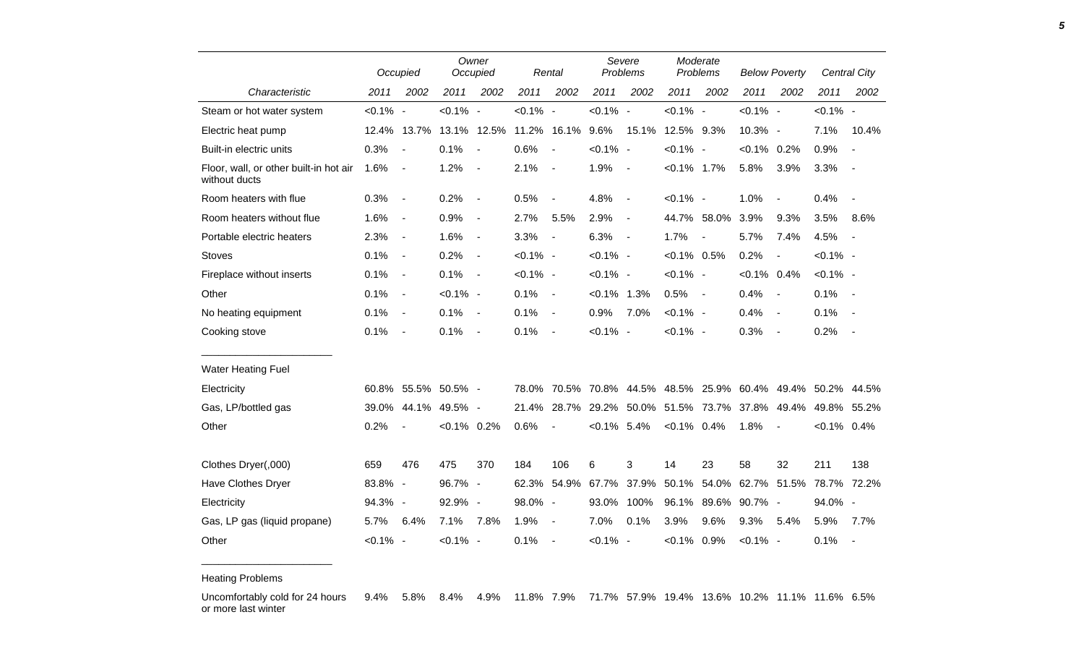|                                                         | Occupied    |                              | Owner<br>Occupied   |                          |             | Rental                   | Severe<br>Problems |                          | Moderate<br>Problems |                   | <b>Below Poverty</b> |                          |                | Central City             |
|---------------------------------------------------------|-------------|------------------------------|---------------------|--------------------------|-------------|--------------------------|--------------------|--------------------------|----------------------|-------------------|----------------------|--------------------------|----------------|--------------------------|
| Characteristic                                          | 2011        | 2002                         | 2011                | 2002                     | 2011        | 2002                     | 2011               | 2002                     | 2011                 | 2002              | 2011                 | 2002                     | 2011           | 2002                     |
| Steam or hot water system                               | $< 0.1\%$ - |                              | $< 0.1\%$ -         |                          | $< 0.1\%$ - |                          | $< 0.1\%$ -        |                          | $< 0.1\%$ -          |                   | $< 0.1\%$ -          |                          | $< 0.1\%$ -    |                          |
| Electric heat pump                                      |             | 12.4% 13.7%                  |                     | 13.1% 12.5%              |             | 11.2% 16.1%              | 9.6%               | 15.1%                    | 12.5% 9.3%           |                   | 10.3% -              |                          | 7.1%           | 10.4%                    |
| Built-in electric units                                 | 0.3%        | $\overline{\phantom{a}}$     | 0.1%                | $\overline{\phantom{a}}$ | 0.6%        | $\blacksquare$           | $< 0.1\%$ -        |                          | $< 0.1\%$ -          |                   | $< 0.1\%$ 0.2%       |                          | 0.9%           |                          |
| Floor, wall, or other built-in hot air<br>without ducts | 1.6%        | $\overline{\phantom{a}}$     | 1.2%                | $\blacksquare$           | 2.1%        | $\blacksquare$           | 1.9%               | $\overline{\phantom{a}}$ | $< 0.1\%$ 1.7%       |                   | 5.8%                 | 3.9%                     | 3.3%           | $\sim$                   |
| Room heaters with flue                                  | 0.3%        | $\overline{\phantom{a}}$     | 0.2%                | $\overline{\phantom{a}}$ | 0.5%        | $\overline{\phantom{a}}$ | 4.8%               | $\overline{\phantom{a}}$ | $< 0.1\%$ -          |                   | 1.0%                 | $\overline{\phantom{a}}$ | 0.4%           | $\overline{\phantom{a}}$ |
| Room heaters without flue                               | 1.6%        | $\overline{\phantom{a}}$     | 0.9%                | $\overline{\phantom{a}}$ | 2.7%        | 5.5%                     | 2.9%               | $\overline{\phantom{a}}$ |                      | 44.7% 58.0%       | 3.9%                 | 9.3%                     | 3.5%           | 8.6%                     |
| Portable electric heaters                               | 2.3%        | $\blacksquare$               | 1.6%                | $\blacksquare$           | 3.3%        | $\overline{\phantom{a}}$ | 6.3%               | $\blacksquare$           | 1.7%                 | $\blacksquare$    | 5.7%                 | 7.4%                     | 4.5%           | $\sim$                   |
| <b>Stoves</b>                                           | 0.1%        | $\overline{\phantom{a}}$     | 0.2%                | $\blacksquare$           | $< 0.1\%$ - |                          | $< 0.1\%$ -        |                          | $< 0.1\%$ 0.5%       |                   | 0.2%                 | $\overline{\phantom{a}}$ | $< 0.1\%$ -    |                          |
| Fireplace without inserts                               | 0.1%        | $\qquad \qquad \blacksquare$ | 0.1%                | $\overline{\phantom{a}}$ | $< 0.1\%$ - |                          | $< 0.1\%$ -        |                          | $< 0.1\%$ -          |                   | $< 0.1\%$ 0.4%       |                          | $< 0.1\%$ -    |                          |
| Other                                                   | 0.1%        | $\blacksquare$               | $< 0.1\%$ -         |                          | 0.1%        | $\blacksquare$           | $< 0.1\%$ 1.3%     |                          | 0.5%                 | $\sim$            | 0.4%                 | $\overline{\phantom{a}}$ | 0.1%           | $\sim$ $-$               |
| No heating equipment                                    | 0.1%        | $\blacksquare$               | 0.1%                | $\blacksquare$           | 0.1%        | $\overline{\phantom{a}}$ | 0.9%               | 7.0%                     | $< 0.1\%$ -          |                   | 0.4%                 | $\sim$                   | 0.1%           | $\sim$                   |
| Cooking stove                                           | 0.1%        | $\overline{\phantom{a}}$     | 0.1%                | $\overline{\phantom{a}}$ | 0.1%        | $\overline{\phantom{a}}$ | $< 0.1\%$ -        |                          | $< 0.1\%$ -          |                   | 0.3%                 | $\sim$                   | 0.2%           | $\sim$                   |
| <b>Water Heating Fuel</b>                               |             |                              |                     |                          |             |                          |                    |                          |                      |                   |                      |                          |                |                          |
| Electricity                                             |             |                              | 60.8% 55.5% 50.5% - |                          | 78.0%       |                          | 70.5% 70.8%        | 44.5%                    | 48.5%                | 25.9%             | 60.4%                |                          | 49.4% 50.2%    | 44.5%                    |
| Gas, LP/bottled gas                                     |             |                              | 39.0% 44.1% 49.5% - |                          | 21.4%       | 28.7%                    | 29.2%              |                          |                      | 50.0% 51.5% 73.7% | 37.8%                | 49.4%                    | 49.8%          | 55.2%                    |
| Other                                                   | 0.2%        |                              | $< 0.1\%$ 0.2%      |                          | 0.6%        | $\overline{\phantom{a}}$ | $< 0.1\%$ 5.4%     |                          | $< 0.1\%$ 0.4%       |                   | 1.8%                 | $\overline{\phantom{a}}$ | $< 0.1\%$ 0.4% |                          |
| Clothes Dryer(,000)                                     | 659         | 476                          | 475                 | 370                      | 184         | 106                      | 6                  | 3                        | 14                   | 23                | 58                   | 32                       | 211            | 138                      |
| Have Clothes Dryer                                      | 83.8% -     |                              | 96.7% -             |                          | 62.3%       | 54.9%                    | 67.7%              | 37.9%                    | 50.1%                | 54.0%             | 62.7%                | 51.5%                    | 78.7%          | 72.2%                    |
| Electricity                                             | 94.3% -     |                              | 92.9%               | $\overline{\phantom{a}}$ | 98.0% -     |                          | 93.0%              | 100%                     | 96.1%                | 89.6%             | 90.7% -              |                          | 94.0% -        |                          |
| Gas, LP gas (liquid propane)                            | 5.7%        | 6.4%                         | 7.1%                | 7.8%                     | 1.9%        | $\overline{\phantom{a}}$ | 7.0%               | 0.1%                     | 3.9%                 | 9.6%              | 9.3%                 | 5.4%                     | 5.9%           | 7.7%                     |
| Other                                                   | $< 0.1\%$ - |                              | $< 0.1\%$ -         |                          | 0.1%        | $\blacksquare$           | $< 0.1\%$ -        |                          | $< 0.1\%$ 0.9%       |                   | $< 0.1\%$ -          |                          | 0.1%           | $\overline{\phantom{a}}$ |

Heating Problems

\_\_\_\_\_\_\_\_\_\_\_\_\_\_\_\_\_\_\_\_\_\_\_

Uncomfortably cold for 24 hours or more last winter 9.4% 5.8% 8.4% 4.9% 11.8% 7.9% 71.7% 57.9% 19.4% 13.6% 10.2% 11.1% 11.6% 6.5%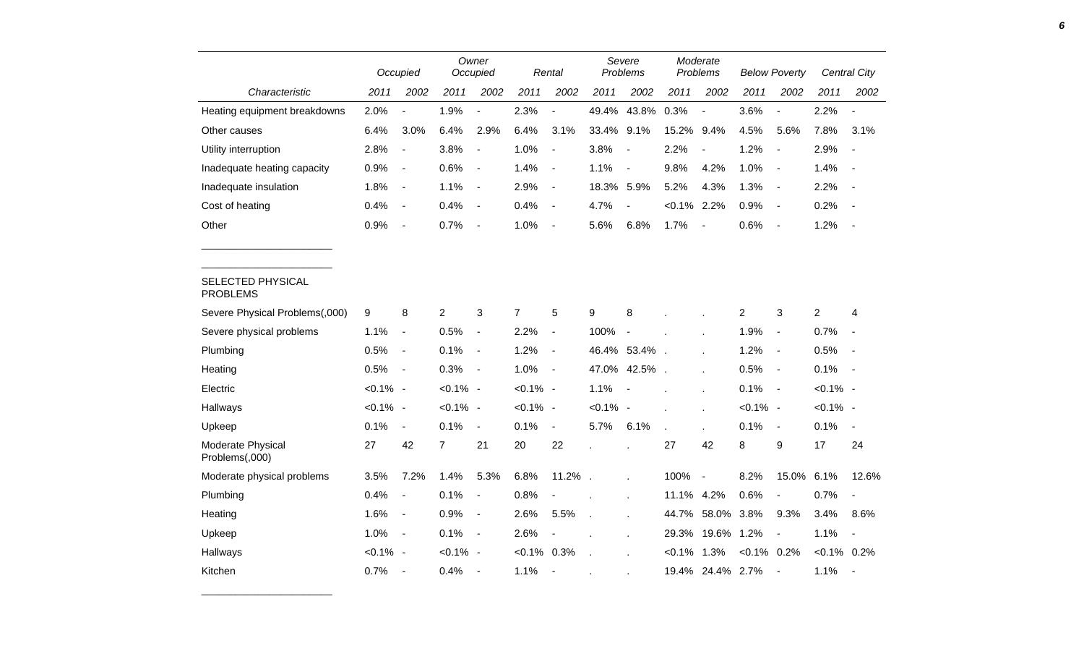|                                      |             | Owner<br>Occupied<br>Rental<br>Occupied |                |                          |                | Severe<br>Problems       | Moderate<br>Problems |                          | <b>Below Poverty</b> |                          |                | Central City             |                |                          |
|--------------------------------------|-------------|-----------------------------------------|----------------|--------------------------|----------------|--------------------------|----------------------|--------------------------|----------------------|--------------------------|----------------|--------------------------|----------------|--------------------------|
| Characteristic                       | 2011        | 2002                                    | 2011           | 2002                     | 2011           | 2002                     | 2011                 | 2002                     | 2011                 | 2002                     | 2011           | 2002                     | 2011           | 2002                     |
| Heating equipment breakdowns         | 2.0%        | $\blacksquare$                          | 1.9%           | $\overline{a}$           | 2.3%           | $\overline{a}$           | 49.4%                | 43.8%                    | 0.3%                 | $\overline{a}$           | 3.6%           | $\sim$                   | 2.2%           | $\overline{\phantom{a}}$ |
| Other causes                         | 6.4%        | 3.0%                                    | 6.4%           | 2.9%                     | 6.4%           | 3.1%                     | 33.4%                | 9.1%                     | 15.2%                | 9.4%                     | 4.5%           | 5.6%                     | 7.8%           | 3.1%                     |
| Utility interruption                 | 2.8%        | $\blacksquare$                          | 3.8%           | $\blacksquare$           | 1.0%           | $\overline{\phantom{a}}$ | 3.8%                 | $\overline{a}$           | 2.2%                 | $\blacksquare$           | 1.2%           | $\overline{\phantom{a}}$ | 2.9%           | $\blacksquare$           |
| Inadequate heating capacity          | 0.9%        | $\overline{\phantom{a}}$                | 0.6%           | $\overline{\phantom{a}}$ | 1.4%           | $\blacksquare$           | 1.1%                 | $\overline{\phantom{a}}$ | 9.8%                 | 4.2%                     | 1.0%           | $\overline{\phantom{a}}$ | 1.4%           | $\overline{\phantom{a}}$ |
| Inadequate insulation                | 1.8%        | $\blacksquare$                          | 1.1%           | $\blacksquare$           | 2.9%           | $\overline{\phantom{a}}$ | 18.3%                | 5.9%                     | 5.2%                 | 4.3%                     | 1.3%           | $\blacksquare$           | 2.2%           | $\overline{a}$           |
| Cost of heating                      | 0.4%        | $\blacksquare$                          | 0.4%           | $\blacksquare$           | 0.4%           | $\blacksquare$           | 4.7%                 | $\blacksquare$           | $< 0.1\%$ 2.2%       |                          | 0.9%           | $\blacksquare$           | 0.2%           | $\overline{\phantom{a}}$ |
| Other                                | 0.9%        | $\blacksquare$                          | 0.7%           | $\overline{\phantom{a}}$ | 1.0%           | $\blacksquare$           | 5.6%                 | 6.8%                     | 1.7%                 | $\overline{\phantom{a}}$ | 0.6%           | $\blacksquare$           | 1.2%           | $\sim$                   |
|                                      |             |                                         |                |                          |                |                          |                      |                          |                      |                          |                |                          |                |                          |
| SELECTED PHYSICAL<br><b>PROBLEMS</b> |             |                                         |                |                          |                |                          |                      |                          |                      |                          |                |                          |                |                          |
| Severe Physical Problems(,000)       | 9           | 8                                       | $\overline{c}$ | 3                        | $\overline{7}$ | 5                        | 9                    | 8                        |                      |                          | $\overline{c}$ | 3                        | $\overline{2}$ | 4                        |
| Severe physical problems             | 1.1%        | $\overline{\phantom{a}}$                | 0.5%           | $\blacksquare$           | 2.2%           | $\blacksquare$           | 100%                 | $\overline{a}$           |                      |                          | 1.9%           | $\blacksquare$           | 0.7%           | $\overline{\phantom{a}}$ |
| Plumbing                             | 0.5%        | $\overline{\phantom{a}}$                | 0.1%           | $\blacksquare$           | 1.2%           | $\blacksquare$           |                      | 46.4% 53.4%              |                      |                          | 1.2%           | $\blacksquare$           | 0.5%           | $\sim$                   |
| Heating                              | 0.5%        | $\overline{\phantom{a}}$                | 0.3%           | $\blacksquare$           | 1.0%           | $\overline{\phantom{a}}$ | 47.0%                | 42.5%                    |                      |                          | 0.5%           | $\overline{\phantom{a}}$ | 0.1%           | $\sim$                   |
| Electric                             | $< 0.1\%$ - |                                         | $< 0.1\%$ -    |                          | $< 0.1\%$ -    |                          | 1.1%                 |                          |                      |                          | 0.1%           | $\overline{\phantom{a}}$ | $< 0.1\%$ -    |                          |
| Hallways                             | $< 0.1\%$ - |                                         | $< 0.1\%$ -    |                          | $< 0.1\%$ -    |                          | $< 0.1\%$ -          |                          |                      |                          | $< 0.1\%$ -    |                          | $< 0.1\%$ -    |                          |
| Upkeep                               | 0.1%        | $\overline{\phantom{a}}$                | 0.1%           | $\blacksquare$           | 0.1%           | $\blacksquare$           | 5.7%                 | 6.1%                     |                      |                          | 0.1%           | $\blacksquare$           | 0.1%           | $\blacksquare$           |
| Moderate Physical<br>Problems(,000)  | 27          | 42                                      | $\overline{7}$ | 21                       | 20             | 22                       |                      |                          | 27                   | 42                       | 8              | 9                        | 17             | 24                       |
| Moderate physical problems           | 3.5%        | 7.2%                                    | 1.4%           | 5.3%                     | 6.8%           | 11.2%                    | $\mathcal{A}$        | ÷.                       | 100%                 | $\blacksquare$           | 8.2%           | 15.0% 6.1%               |                | 12.6%                    |
| Plumbing                             | 0.4%        | $\blacksquare$                          | 0.1%           | $\blacksquare$           | 0.8%           |                          |                      |                          | 11.1%                | 4.2%                     | 0.6%           | $\blacksquare$           | 0.7%           | $\overline{\phantom{a}}$ |
| Heating                              | 1.6%        | $\overline{\phantom{a}}$                | 0.9%           | $\overline{\phantom{a}}$ | 2.6%           | 5.5%                     | L.                   |                          | 44.7%                | 58.0%                    | 3.8%           | 9.3%                     | 3.4%           | 8.6%                     |
| Upkeep                               | 1.0%        | $\overline{\phantom{a}}$                | 0.1%           | $\blacksquare$           | 2.6%           |                          |                      |                          | 29.3%                | 19.6%                    | 1.2%           | $\blacksquare$           | 1.1%           | $\overline{\phantom{a}}$ |
| Hallways                             | $< 0.1\%$ - |                                         | $< 0.1\%$ -    |                          | $< 0.1\%$      | 0.3%                     | $\overline{a}$       |                          | $< 0.1\%$            | 1.3%                     | $< 0.1\%$ 0.2% |                          | $< 0.1\%$ 0.2% |                          |
| Kitchen                              | 0.7%        | $\overline{\phantom{a}}$                | 0.4%           | $\blacksquare$           | 1.1%           | $\blacksquare$           |                      |                          |                      | 19.4% 24.4% 2.7%         |                | $\blacksquare$           | 1.1%           | $\blacksquare$           |

\_\_\_\_\_\_\_\_\_\_\_\_\_\_\_\_\_\_\_\_\_\_\_